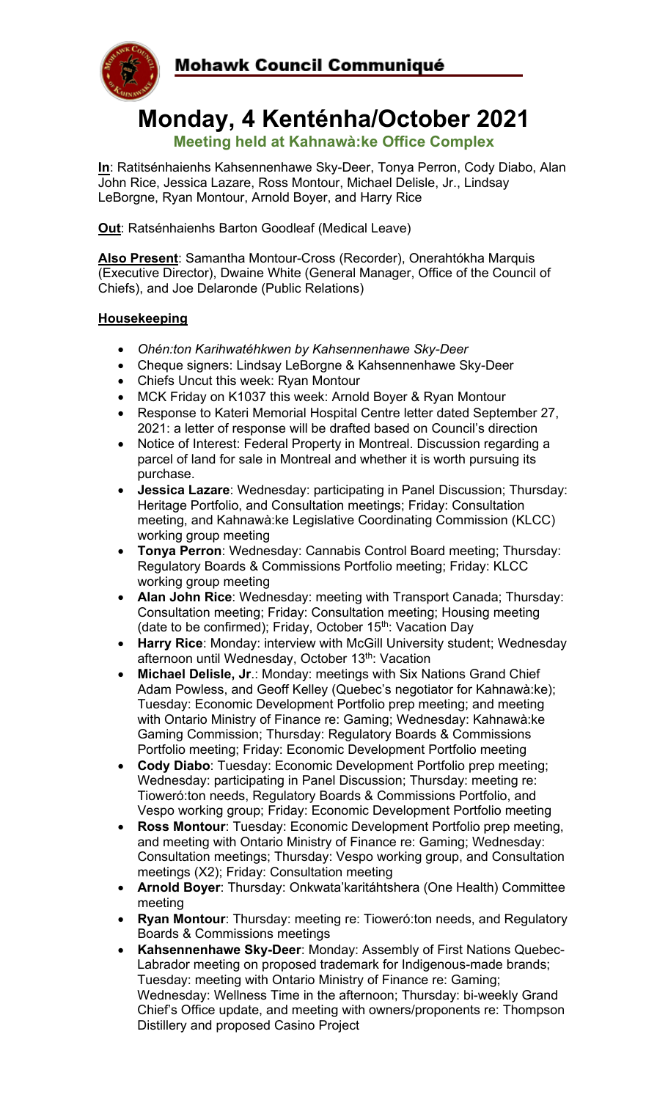

# **Monday, 4 Kenténha/October 2021**

**Meeting held at Kahnawà:ke Office Complex**

**In**: Ratitsénhaienhs Kahsennenhawe Sky-Deer, Tonya Perron, Cody Diabo, Alan John Rice, Jessica Lazare, Ross Montour, Michael Delisle, Jr., Lindsay LeBorgne, Ryan Montour, Arnold Boyer, and Harry Rice

**Out**: Ratsénhaienhs Barton Goodleaf (Medical Leave)

**Also Present**: Samantha Montour-Cross (Recorder), Onerahtókha Marquis (Executive Director), Dwaine White (General Manager, Office of the Council of Chiefs), and Joe Delaronde (Public Relations)

### **Housekeeping**

- *Ohén:ton Karihwatéhkwen by Kahsennenhawe Sky-Deer*
- Cheque signers: Lindsay LeBorgne & Kahsennenhawe Sky-Deer
- Chiefs Uncut this week: Ryan Montour
- MCK Friday on K1037 this week: Arnold Boyer & Ryan Montour
- Response to Kateri Memorial Hospital Centre letter dated September 27, 2021: a letter of response will be drafted based on Council's direction
- Notice of Interest: Federal Property in Montreal. Discussion regarding a parcel of land for sale in Montreal and whether it is worth pursuing its purchase.
- **Jessica Lazare**: Wednesday: participating in Panel Discussion; Thursday: Heritage Portfolio, and Consultation meetings; Friday: Consultation meeting, and Kahnawà:ke Legislative Coordinating Commission (KLCC) working group meeting
- **Tonya Perron**: Wednesday: Cannabis Control Board meeting; Thursday: Regulatory Boards & Commissions Portfolio meeting; Friday: KLCC working group meeting
- **Alan John Rice**: Wednesday: meeting with Transport Canada; Thursday: Consultation meeting; Friday: Consultation meeting; Housing meeting (date to be confirmed); Friday, October 15<sup>th</sup>: Vacation Day
- **Harry Rice**: Monday: interview with McGill University student; Wednesday afternoon until Wednesday, October 13<sup>th</sup>: Vacation
- **Michael Delisle, Jr**.: Monday: meetings with Six Nations Grand Chief Adam Powless, and Geoff Kelley (Quebec's negotiator for Kahnawà:ke); Tuesday: Economic Development Portfolio prep meeting; and meeting with Ontario Ministry of Finance re: Gaming; Wednesday: Kahnawà:ke Gaming Commission; Thursday: Regulatory Boards & Commissions Portfolio meeting; Friday: Economic Development Portfolio meeting
- **Cody Diabo**: Tuesday: Economic Development Portfolio prep meeting; Wednesday: participating in Panel Discussion; Thursday: meeting re: Tioweró:ton needs, Regulatory Boards & Commissions Portfolio, and Vespo working group; Friday: Economic Development Portfolio meeting
- **Ross Montour**: Tuesday: Economic Development Portfolio prep meeting, and meeting with Ontario Ministry of Finance re: Gaming; Wednesday: Consultation meetings; Thursday: Vespo working group, and Consultation meetings (X2); Friday: Consultation meeting
- **Arnold Boyer**: Thursday: Onkwata'karitáhtshera (One Health) Committee meeting
- **Ryan Montour**: Thursday: meeting re: Tioweró:ton needs, and Regulatory Boards & Commissions meetings
- **Kahsennenhawe Sky-Deer**: Monday: Assembly of First Nations Quebec-Labrador meeting on proposed trademark for Indigenous-made brands; Tuesday: meeting with Ontario Ministry of Finance re: Gaming; Wednesday: Wellness Time in the afternoon; Thursday: bi-weekly Grand Chief's Office update, and meeting with owners/proponents re: Thompson Distillery and proposed Casino Project